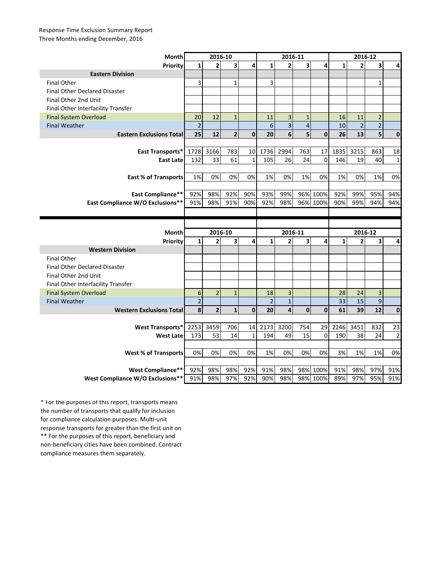## Response Time Exclusion Summary Report Three Months ending December, 2016

| Month                                                 | 2016-10        |                         |                         |              | 2016-11         |                         |                |                      | 2016-12      |                |                |                |
|-------------------------------------------------------|----------------|-------------------------|-------------------------|--------------|-----------------|-------------------------|----------------|----------------------|--------------|----------------|----------------|----------------|
| Priority                                              | 1              | 2                       | $\overline{\mathbf{3}}$ | 4            | $\mathbf{1}$    | $\overline{2}$          | 3              | 4                    | $\mathbf{1}$ | 2              | 3              | 4              |
| <b>Eastern Division</b>                               |                |                         |                         |              |                 |                         |                |                      |              |                |                |                |
| <b>Final Other</b>                                    | 3              |                         | $\mathbf{1}$            |              | 3               |                         |                |                      |              |                | 1              |                |
| <b>Final Other Declared Disaster</b>                  |                |                         |                         |              |                 |                         |                |                      |              |                |                |                |
| Final Other 2nd Unit                                  |                |                         |                         |              |                 |                         |                |                      |              |                |                |                |
| Final Other Interfacility Transfer                    |                |                         |                         |              |                 |                         |                |                      |              |                |                |                |
| <b>Final System Overload</b>                          | 20             | 12                      | $1\,$                   |              | 11              | $\mathbf{3}$            | $\mathbf{1}$   |                      | 16           | 11             | $\overline{2}$ |                |
| <b>Final Weather</b>                                  | $\overline{2}$ |                         |                         |              | $6\phantom{1}6$ | $\overline{\mathbf{3}}$ | $\overline{4}$ |                      | 10           | $\overline{2}$ | $\overline{2}$ |                |
| <b>Eastern Exclusions Total</b>                       | 25             | 12                      | $\overline{2}$          | $\mathbf{0}$ | 20              | 6                       | 5              | $\mathbf{0}$         | 26           | 13             | 5              | $\mathbf 0$    |
|                                                       |                |                         |                         |              |                 |                         |                |                      |              |                |                |                |
| East Transports*                                      | 1728           | 3166                    | 783                     | 10           | 1736            | 2994                    | 763            | 17                   | 1835         | 3215           | 863            | 18             |
| East Late                                             | 132            | 33                      | 61                      | $\mathbf{1}$ | 105             | 26                      | 24             | $\Omega$             | 146          | 19             | 40             | $\mathbf{1}$   |
|                                                       |                |                         |                         |              |                 |                         |                |                      |              |                |                |                |
| <b>East % of Transports</b>                           | 1%             | 0%                      | 0%                      | 0%           | 1%              | 0%                      | 1%             | 0%                   | 1%           | 0%             | 1%             | 0%             |
|                                                       |                |                         |                         |              |                 |                         |                |                      |              |                |                |                |
| <b>East Compliance**</b>                              | 92%            | 98%                     | 92%                     | 90%          | 93%             | 99%                     |                | 96% 100%             | 92%          | 99%            | 95%            | 94%            |
| East Compliance W/O Exclusions**                      | 91%            | 98%                     | 91%                     | 90%          | 92%             | 98%                     |                | 96% 100%             | 90%          | 99%            | 94%            | 94%            |
|                                                       |                |                         |                         |              |                 |                         |                |                      |              |                |                |                |
|                                                       |                |                         |                         |              |                 |                         |                |                      |              |                |                |                |
|                                                       |                |                         |                         |              |                 |                         |                |                      |              |                |                |                |
| Month                                                 |                | 2016-10                 |                         |              |                 | 2016-11                 |                |                      |              | 2016-12        |                |                |
| Priority                                              | $\mathbf{1}$   | $\overline{2}$          | 3                       | 4            | $\mathbf{1}$    | $\overline{2}$          | 3              | 4                    | $\mathbf{1}$ | 2              | 3              | 4              |
| <b>Western Division</b>                               |                |                         |                         |              |                 |                         |                |                      |              |                |                |                |
| <b>Final Other</b>                                    |                |                         |                         |              |                 |                         |                |                      |              |                |                |                |
| <b>Final Other Declared Disaster</b>                  |                |                         |                         |              |                 |                         |                |                      |              |                |                |                |
| Final Other 2nd Unit                                  |                |                         |                         |              |                 |                         |                |                      |              |                |                |                |
| Final Other Interfacility Transfer                    |                |                         |                         |              |                 |                         |                |                      |              |                |                |                |
| <b>Final System Overload</b>                          | 6              | $\overline{2}$          | $\mathbf{1}$            |              | 18              | 3                       |                |                      | 28           | 24             | 3              |                |
| <b>Final Weather</b>                                  | $\overline{2}$ |                         |                         |              | $\overline{2}$  | $\mathbf 1$             |                |                      | 33           | 15             | $\mathbf{9}$   |                |
| <b>Western Exclusions Total</b>                       | 8              | $\overline{\mathbf{c}}$ | $\mathbf{1}$            | $\mathbf 0$  | 20              | $\overline{\mathbf{4}}$ | $\mathbf 0$    | $\mathbf{0}$         | 61           | 39             | 12             | $\mathbf 0$    |
|                                                       |                |                         |                         |              |                 |                         |                |                      |              |                |                |                |
| <b>West Transports*</b>                               | 2253           | 3459                    | 706                     | 14           | 2173            | 3200                    | 754            | 29                   | 2246         | 3451           | 832            | 23             |
| <b>West Late</b>                                      | 173            | 53                      | 14                      | $\mathbf{1}$ | 194             | 49                      | 15             | $\Omega$             | 190          | 38             | 24             | $\overline{2}$ |
|                                                       |                |                         |                         |              |                 |                         |                |                      |              |                |                |                |
| <b>West % of Transports</b>                           | 0%             | 0%                      | 0%                      | 0%           | 1%              | 0%                      | 0%             | 0%                   | 3%           | 1%             | 1%             | 0%             |
|                                                       |                |                         |                         |              |                 |                         |                |                      |              |                |                |                |
| West Compliance**<br>West Compliance W/O Exclusions** | 92%            | 98%<br>98%              | 98%<br>97%              | 92%<br>92%   | 91%<br>90%      | 98%<br>98%              |                | 98% 100%<br>98% 100% | 91%<br>89%   | 98%<br>97%     | 97%<br>95%     | 91%<br>91%     |

\*\* For the purposes of this report, beneficiary and non-beneficiary cities have been combined. Contract compliance measures them separately. \* For the purposes of this report, transports means the number of transports that qualify for inclusion for compliance calculation purposes. Multi-unit response transports for greater than the first unit on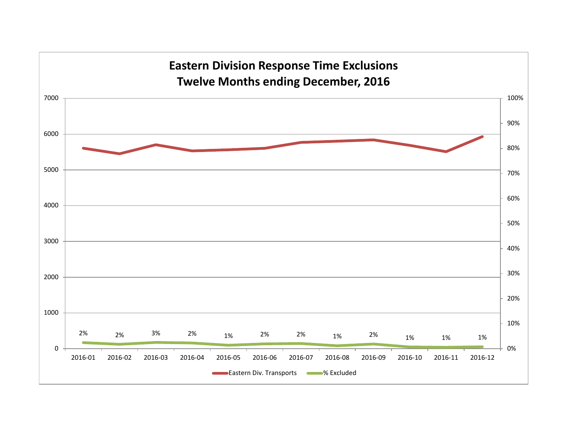